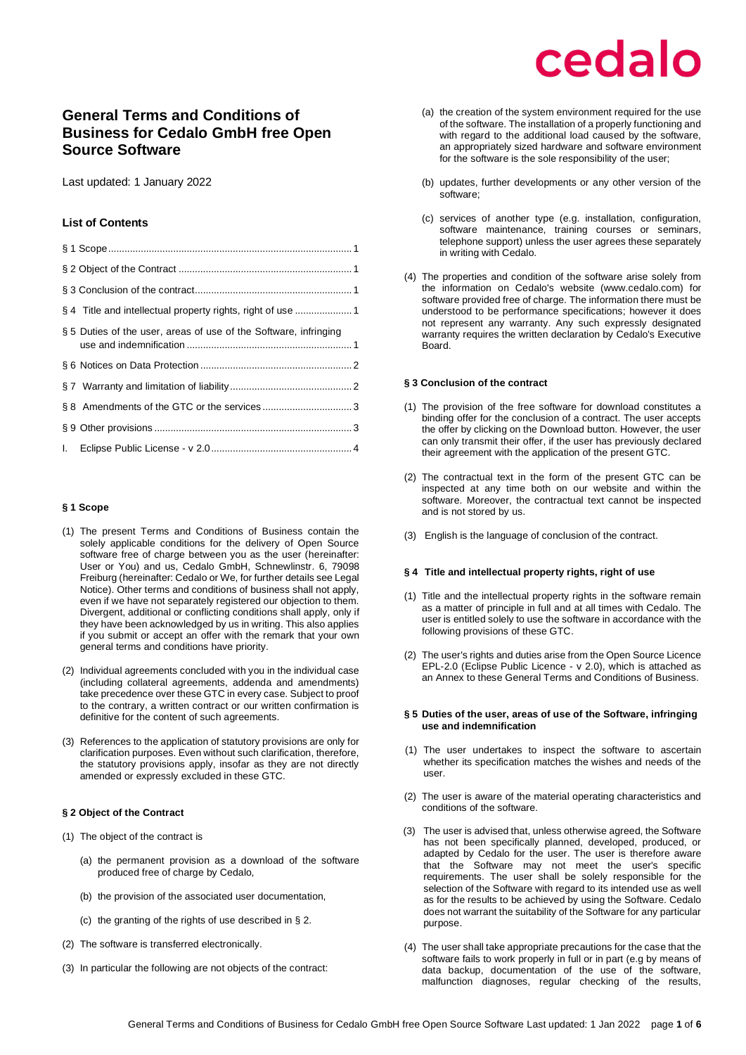## **General Terms and Conditions of Business for Cedalo GmbH free Open Source Software**

Last updated: 1 January 2022

### **List of Contents**

| § 5 Duties of the user, areas of use of the Software, infringing |  |
|------------------------------------------------------------------|--|
|                                                                  |  |
|                                                                  |  |
|                                                                  |  |
|                                                                  |  |
|                                                                  |  |

### <span id="page-0-0"></span>**§ 1 Scope**

- (1) The present Terms and Conditions of Business contain the solely applicable conditions for the delivery of Open Source software free of charge between you as the user (hereinafter: User or You) and us, Cedalo GmbH, Schnewlinstr. 6, 79098 Freiburg (hereinafter: Cedalo or We, for further details see Legal Notice). Other terms and conditions of business shall not apply, even if we have not separately registered our objection to them. Divergent, additional or conflicting conditions shall apply, only if they have been acknowledged by us in writing. This also applies if you submit or accept an offer with the remark that your own general terms and conditions have priority.
- (2) Individual agreements concluded with you in the individual case (including collateral agreements, addenda and amendments) take precedence over these GTC in every case. Subject to proof to the contrary, a written contract or our written confirmation is definitive for the content of such agreements.
- (3) References to the application of statutory provisions are only for clarification purposes. Even without such clarification, therefore, the statutory provisions apply, insofar as they are not directly amended or expressly excluded in these GTC.

### <span id="page-0-1"></span>**§ 2 Object of the Contract**

- (1) The object of the contract is
	- (a) the permanent provision as a download of the software produced free of charge by Cedalo,
	- (b) the provision of the associated user documentation,
	- (c) the granting of the rights of use described in § 2.
- (2) The software is transferred electronically.
- (3) In particular the following are not objects of the contract:
- (a) the creation of the system environment required for the use of the software. The installation of a properly functioning and with regard to the additional load caused by the software, an appropriately sized hardware and software environment for the software is the sole responsibility of the user;
- (b) updates, further developments or any other version of the software;
- (c) services of another type (e.g. installation, configuration, software maintenance, training courses or seminars, telephone support) unless the user agrees these separately in writing with Cedalo.
- (4) The properties and condition of the software arise solely from the information on Cedalo's website (www.cedalo.com) for software provided free of charge. The information there must be understood to be performance specifications; however it does not represent any warranty. Any such expressly designated warranty requires the written declaration by Cedalo's Executive Board.

### <span id="page-0-2"></span>**§ 3 Conclusion of the contract**

- (1) The provision of the free software for download constitutes a binding offer for the conclusion of a contract. The user accepts the offer by clicking on the Download button. However, the user can only transmit their offer, if the user has previously declared their agreement with the application of the present GTC.
- (2) The contractual text in the form of the present GTC can be inspected at any time both on our website and within the software. Moreover, the contractual text cannot be inspected and is not stored by us.
- (3) English is the language of conclusion of the contract.

#### <span id="page-0-3"></span>**§ 4 Title and intellectual property rights, right of use**

- (1) Title and the intellectual property rights in the software remain as a matter of principle in full and at all times with Cedalo. The user is entitled solely to use the software in accordance with the following provisions of these GTC.
- (2) The user's rights and duties arise from the Open Source Licence EPL-2.0 (Eclipse Public Licence - v 2.0), which is attached as an Annex to these General Terms and Conditions of Business.

### <span id="page-0-4"></span>**§ 5 Duties of the user, areas of use of the Software, infringing use and indemnification**

- (1) The user undertakes to inspect the software to ascertain whether its specification matches the wishes and needs of the user.
- (2) The user is aware of the material operating characteristics and conditions of the software.
- (3) The user is advised that, unless otherwise agreed, the Software has not been specifically planned, developed, produced, or adapted by Cedalo for the user. The user is therefore aware that the Software may not meet the user's specific requirements. The user shall be solely responsible for the selection of the Software with regard to its intended use as well as for the results to be achieved by using the Software. Cedalo does not warrant the suitability of the Software for any particular purpose.
- (4) The user shall take appropriate precautions for the case that the software fails to work properly in full or in part (e.g by means of data backup, documentation of the use of the software, malfunction diagnoses, regular checking of the results,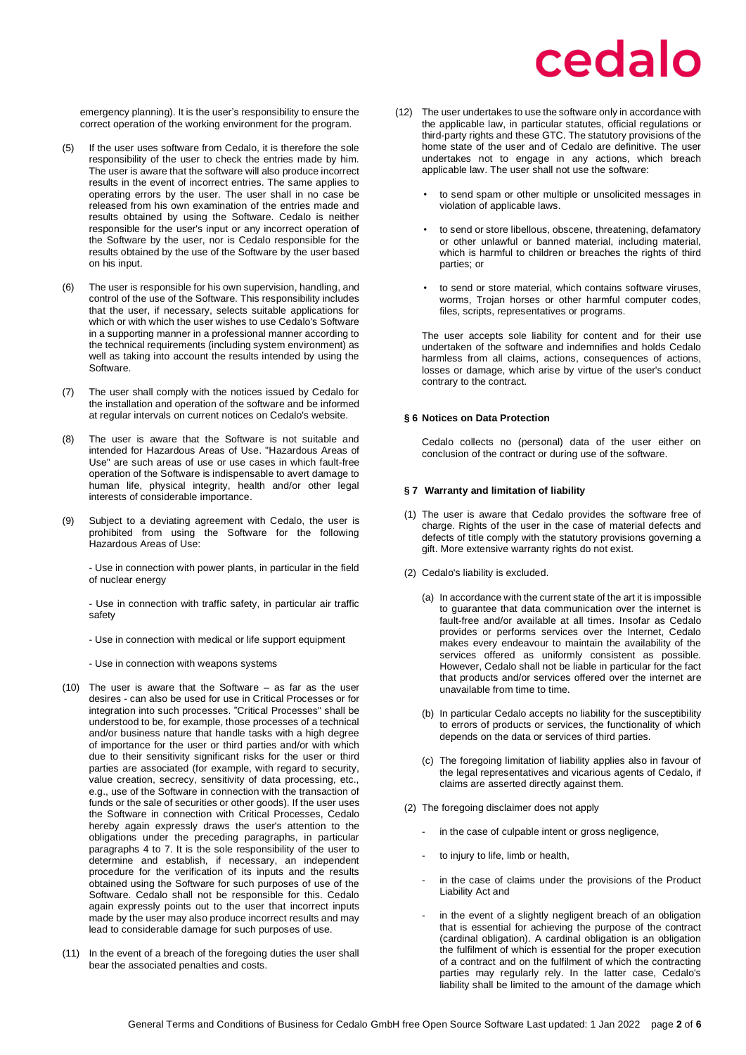emergency planning). It is the user's responsibility to ensure the correct operation of the working environment for the program.

- (5) If the user uses software from Cedalo, it is therefore the sole responsibility of the user to check the entries made by him. The user is aware that the software will also produce incorrect results in the event of incorrect entries. The same applies to operating errors by the user. The user shall in no case be released from his own examination of the entries made and results obtained by using the Software. Cedalo is neither responsible for the user's input or any incorrect operation of the Software by the user, nor is Cedalo responsible for the results obtained by the use of the Software by the user based on his input.
- (6) The user is responsible for his own supervision, handling, and control of the use of the Software. This responsibility includes that the user, if necessary, selects suitable applications for which or with which the user wishes to use Cedalo's Software in a supporting manner in a professional manner according to the technical requirements (including system environment) as well as taking into account the results intended by using the Software.
- (7) The user shall comply with the notices issued by Cedalo for the installation and operation of the software and be informed at regular intervals on current notices on Cedalo's website.
- (8) The user is aware that the Software is not suitable and intended for Hazardous Areas of Use. "Hazardous Areas of Use" are such areas of use or use cases in which fault-free operation of the Software is indispensable to avert damage to human life, physical integrity, health and/or other legal interests of considerable importance.
- (9) Subject to a deviating agreement with Cedalo, the user is prohibited from using the Software for the following Hazardous Areas of Use:

- Use in connection with power plants, in particular in the field of nuclear energy

- Use in connection with traffic safety, in particular air traffic safety

- Use in connection with medical or life support equipment
- Use in connection with weapons systems
- (10) The user is aware that the Software as far as the user desires - can also be used for use in Critical Processes or for integration into such processes. "Critical Processes" shall be understood to be, for example, those processes of a technical and/or business nature that handle tasks with a high degree of importance for the user or third parties and/or with which due to their sensitivity significant risks for the user or third parties are associated (for example, with regard to security, value creation, secrecy, sensitivity of data processing, etc., e.g., use of the Software in connection with the transaction of funds or the sale of securities or other goods). If the user uses the Software in connection with Critical Processes, Cedalo hereby again expressly draws the user's attention to the obligations under the preceding paragraphs, in particular paragraphs 4 to 7. It is the sole responsibility of the user to determine and establish, if necessary, an independent procedure for the verification of its inputs and the results obtained using the Software for such purposes of use of the Software. Cedalo shall not be responsible for this. Cedalo again expressly points out to the user that incorrect inputs made by the user may also produce incorrect results and may lead to considerable damage for such purposes of use.
- (11) In the event of a breach of the foregoing duties the user shall bear the associated penalties and costs.
- (12) The user undertakes to use the software only in accordance with the applicable law, in particular statutes, official regulations or third-party rights and these GTC. The statutory provisions of the home state of the user and of Cedalo are definitive. The user undertakes not to engage in any actions, which breach applicable law. The user shall not use the software:
	- to send spam or other multiple or unsolicited messages in violation of applicable laws.
	- to send or store libellous, obscene, threatening, defamatory or other unlawful or banned material, including material, which is harmful to children or breaches the rights of third parties; or
	- to send or store material, which contains software viruses, worms, Trojan horses or other harmful computer codes, files, scripts, representatives or programs.

The user accepts sole liability for content and for their use undertaken of the software and indemnifies and holds Cedalo harmless from all claims, actions, consequences of actions, losses or damage, which arise by virtue of the user's conduct contrary to the contract.

### <span id="page-1-0"></span>**§ 6 Notices on Data Protection**

Cedalo collects no (personal) data of the user either on conclusion of the contract or during use of the software.

### <span id="page-1-1"></span>**§ 7 Warranty and limitation of liability**

- (1) The user is aware that Cedalo provides the software free of charge. Rights of the user in the case of material defects and defects of title comply with the statutory provisions governing a gift. More extensive warranty rights do not exist.
- (2) Cedalo's liability is excluded.
	- (a) In accordance with the current state of the art it is impossible to guarantee that data communication over the internet is fault-free and/or available at all times. Insofar as Cedalo provides or performs services over the Internet, Cedalo makes every endeavour to maintain the availability of the services offered as uniformly consistent as possible. However, Cedalo shall not be liable in particular for the fact that products and/or services offered over the internet are unavailable from time to time.
	- (b) In particular Cedalo accepts no liability for the susceptibility to errors of products or services, the functionality of which depends on the data or services of third parties.
	- (c) The foregoing limitation of liability applies also in favour of the legal representatives and vicarious agents of Cedalo, if claims are asserted directly against them.
- (2) The foregoing disclaimer does not apply
	- in the case of culpable intent or gross negligence,
	- to injury to life, limb or health,
	- in the case of claims under the provisions of the Product Liability Act and
	- in the event of a slightly negligent breach of an obligation that is essential for achieving the purpose of the contract (cardinal obligation). A cardinal obligation is an obligation the fulfilment of which is essential for the proper execution of a contract and on the fulfilment of which the contracting parties may regularly rely. In the latter case, Cedalo's liability shall be limited to the amount of the damage which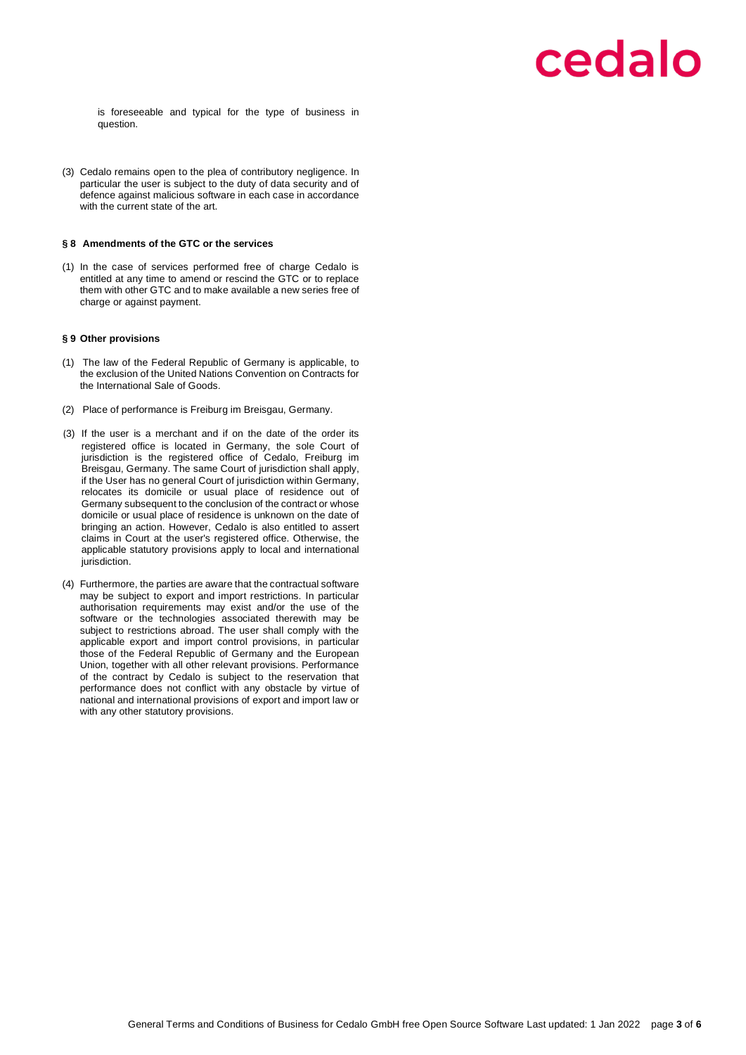is foreseeable and typical for the type of business in question.

(3) Cedalo remains open to the plea of contributory negligence. In particular the user is subject to the duty of data security and of defence against malicious software in each case in accordance with the current state of the art.

### <span id="page-2-0"></span>**§ 8 Amendments of the GTC or the services**

(1) In the case of services performed free of charge Cedalo is entitled at any time to amend or rescind the GTC or to replace them with other GTC and to make available a new series free of charge or against payment.

### <span id="page-2-1"></span>**§ 9 Other provisions**

- (1) The law of the Federal Republic of Germany is applicable, to the exclusion of the United Nations Convention on Contracts for the International Sale of Goods.
- (2) Place of performance is Freiburg im Breisgau, Germany.
- (3) If the user is a merchant and if on the date of the order its registered office is located in Germany, the sole Court of jurisdiction is the registered office of Cedalo, Freiburg im Breisgau, Germany. The same Court of jurisdiction shall apply, if the User has no general Court of jurisdiction within Germany, relocates its domicile or usual place of residence out of Germany subsequent to the conclusion of the contract or whose domicile or usual place of residence is unknown on the date of bringing an action. However, Cedalo is also entitled to assert claims in Court at the user's registered office. Otherwise, the applicable statutory provisions apply to local and international jurisdiction.
- (4) Furthermore, the parties are aware that the contractual software may be subject to export and import restrictions. In particular authorisation requirements may exist and/or the use of the software or the technologies associated therewith may be subject to restrictions abroad. The user shall comply with the applicable export and import control provisions, in particular those of the Federal Republic of Germany and the European Union, together with all other relevant provisions. Performance of the contract by Cedalo is subject to the reservation that performance does not conflict with any obstacle by virtue of national and international provisions of export and import law or with any other statutory provisions.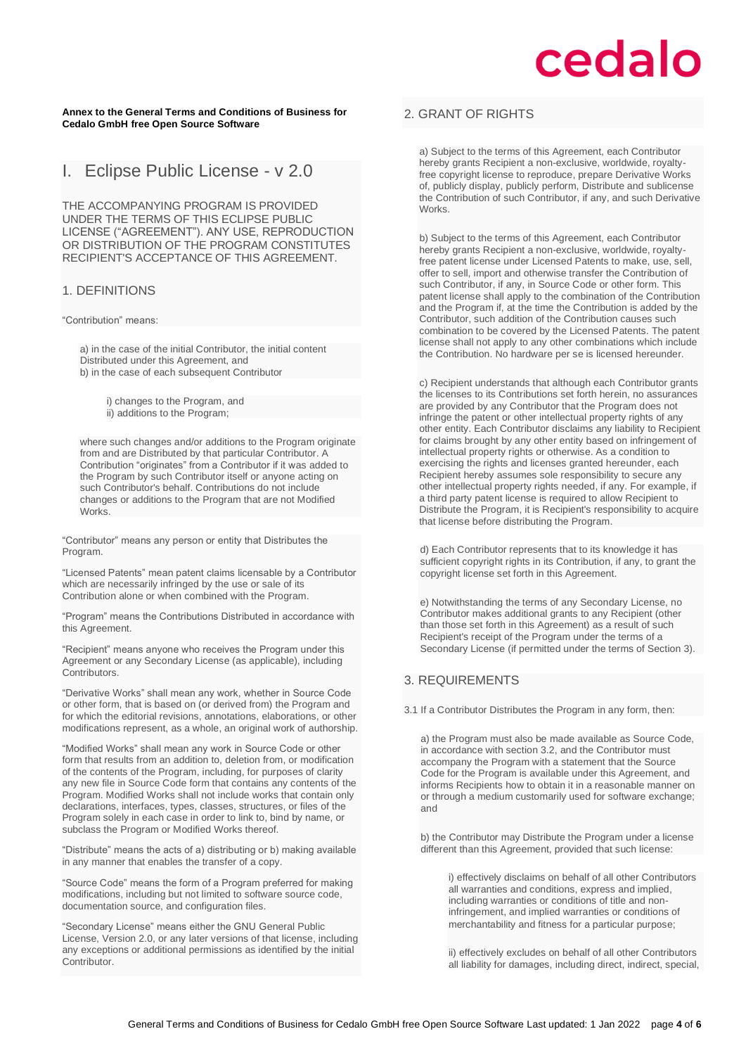### **Annex to the General Terms and Conditions of Business for Cedalo GmbH free Open Source Software**

## <span id="page-3-0"></span>I. Eclipse Public License - v 2.0

THE ACCOMPANYING PROGRAM IS PROVIDED UNDER THE TERMS OF THIS ECLIPSE PUBLIC LICENSE ("AGREEMENT"). ANY USE, REPRODUCTION OR DISTRIBUTION OF THE PROGRAM CONSTITUTES RECIPIENT'S ACCEPTANCE OF THIS AGREEMENT.

## 1. DEFINITIONS

"Contribution" means:

a) in the case of the initial Contributor, the initial content Distributed under this Agreement, and b) in the case of each subsequent Contributor

> i) changes to the Program, and ii) additions to the Program;

where such changes and/or additions to the Program originate from and are Distributed by that particular Contributor. A Contribution "originates" from a Contributor if it was added to the Program by such Contributor itself or anyone acting on such Contributor's behalf. Contributions do not include changes or additions to the Program that are not Modified Works.

"Contributor" means any person or entity that Distributes the Program.

"Licensed Patents" mean patent claims licensable by a Contributor which are necessarily infringed by the use or sale of its Contribution alone or when combined with the Program.

"Program" means the Contributions Distributed in accordance with this Agreement.

"Recipient" means anyone who receives the Program under this Agreement or any Secondary License (as applicable), including Contributors.

"Derivative Works" shall mean any work, whether in Source Code or other form, that is based on (or derived from) the Program and for which the editorial revisions, annotations, elaborations, or other modifications represent, as a whole, an original work of authorship.

"Modified Works" shall mean any work in Source Code or other form that results from an addition to, deletion from, or modification of the contents of the Program, including, for purposes of clarity any new file in Source Code form that contains any contents of the Program. Modified Works shall not include works that contain only declarations, interfaces, types, classes, structures, or files of the Program solely in each case in order to link to, bind by name, or subclass the Program or Modified Works thereof.

"Distribute" means the acts of a) distributing or b) making available in any manner that enables the transfer of a copy.

"Source Code" means the form of a Program preferred for making modifications, including but not limited to software source code, documentation source, and configuration files.

"Secondary License" means either the GNU General Public License, Version 2.0, or any later versions of that license, including any exceptions or additional permissions as identified by the initial Contributor.

### 2. GRANT OF RIGHTS

a) Subject to the terms of this Agreement, each Contributor hereby grants Recipient a non-exclusive, worldwide, royaltyfree copyright license to reproduce, prepare Derivative Works of, publicly display, publicly perform, Distribute and sublicense the Contribution of such Contributor, if any, and such Derivative Works.

b) Subject to the terms of this Agreement, each Contributor hereby grants Recipient a non-exclusive, worldwide, royaltyfree patent license under Licensed Patents to make, use, sell, offer to sell, import and otherwise transfer the Contribution of such Contributor, if any, in Source Code or other form. This patent license shall apply to the combination of the Contribution and the Program if, at the time the Contribution is added by the Contributor, such addition of the Contribution causes such combination to be covered by the Licensed Patents. The patent license shall not apply to any other combinations which include the Contribution. No hardware per se is licensed hereunder.

c) Recipient understands that although each Contributor grants the licenses to its Contributions set forth herein, no assurances are provided by any Contributor that the Program does not infringe the patent or other intellectual property rights of any other entity. Each Contributor disclaims any liability to Recipient for claims brought by any other entity based on infringement of intellectual property rights or otherwise. As a condition to exercising the rights and licenses granted hereunder, each Recipient hereby assumes sole responsibility to secure any other intellectual property rights needed, if any. For example, if a third party patent license is required to allow Recipient to Distribute the Program, it is Recipient's responsibility to acquire that license before distributing the Program.

d) Each Contributor represents that to its knowledge it has sufficient copyright rights in its Contribution, if any, to grant the copyright license set forth in this Agreement.

e) Notwithstanding the terms of any Secondary License, no Contributor makes additional grants to any Recipient (other than those set forth in this Agreement) as a result of such Recipient's receipt of the Program under the terms of a Secondary License (if permitted under the terms of Section 3).

## 3. REQUIREMENTS

3.1 If a Contributor Distributes the Program in any form, then:

a) the Program must also be made available as Source Code, in accordance with section 3.2, and the Contributor must accompany the Program with a statement that the Source Code for the Program is available under this Agreement, and informs Recipients how to obtain it in a reasonable manner on or through a medium customarily used for software exchange; and

b) the Contributor may Distribute the Program under a license different than this Agreement, provided that such license:

i) effectively disclaims on behalf of all other Contributors all warranties and conditions, express and implied, including warranties or conditions of title and noninfringement, and implied warranties or conditions of merchantability and fitness for a particular purpose;

ii) effectively excludes on behalf of all other Contributors all liability for damages, including direct, indirect, special,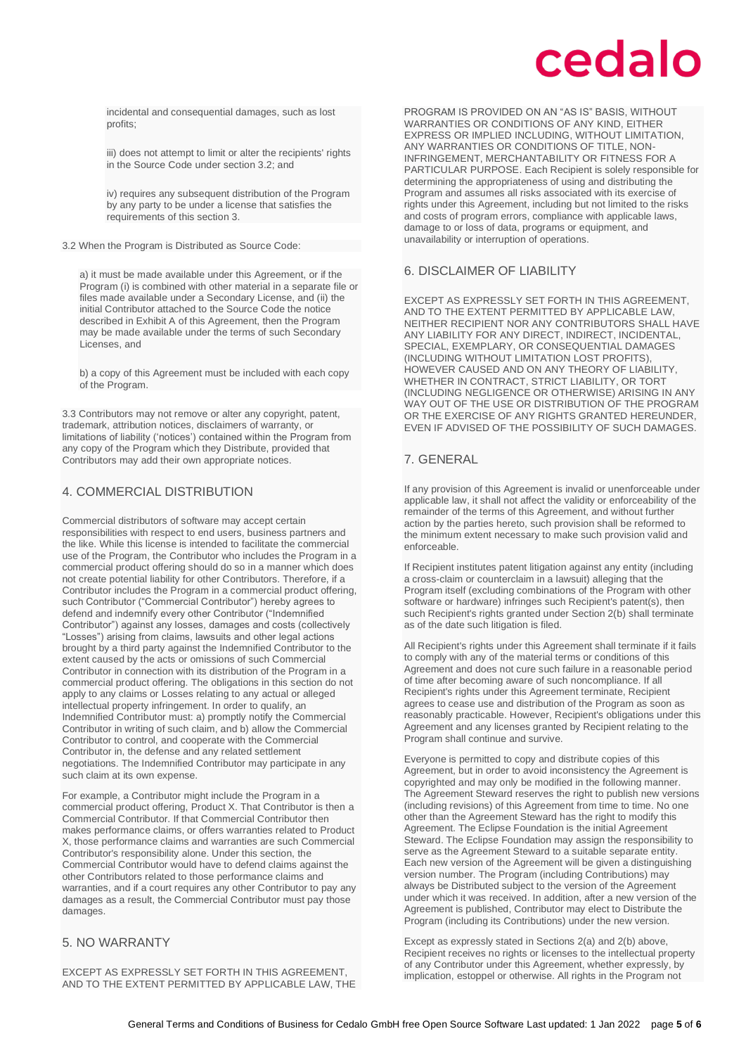incidental and consequential damages, such as lost profits;

iii) does not attempt to limit or alter the recipients' rights in the Source Code under section 3.2; and

iv) requires any subsequent distribution of the Program by any party to be under a license that satisfies the requirements of this section 3.

3.2 When the Program is Distributed as Source Code:

a) it must be made available under this Agreement, or if the Program (i) is combined with other material in a separate file or files made available under a Secondary License, and (ii) the initial Contributor attached to the Source Code the notice described in Exhibit A of this Agreement, then the Program may be made available under the terms of such Secondary Licenses, and

b) a copy of this Agreement must be included with each copy of the Program.

3.3 Contributors may not remove or alter any copyright, patent, trademark, attribution notices, disclaimers of warranty, or limitations of liability ('notices') contained within the Program from any copy of the Program which they Distribute, provided that Contributors may add their own appropriate notices.

### 4. COMMERCIAL DISTRIBUTION

Commercial distributors of software may accept certain responsibilities with respect to end users, business partners and the like. While this license is intended to facilitate the commercial use of the Program, the Contributor who includes the Program in a commercial product offering should do so in a manner which does not create potential liability for other Contributors. Therefore, if a Contributor includes the Program in a commercial product offering, such Contributor ("Commercial Contributor") hereby agrees to defend and indemnify every other Contributor ("Indemnified Contributor") against any losses, damages and costs (collectively "Losses") arising from claims, lawsuits and other legal actions brought by a third party against the Indemnified Contributor to the extent caused by the acts or omissions of such Commercial Contributor in connection with its distribution of the Program in a commercial product offering. The obligations in this section do not apply to any claims or Losses relating to any actual or alleged intellectual property infringement. In order to qualify, an Indemnified Contributor must: a) promptly notify the Commercial Contributor in writing of such claim, and b) allow the Commercial Contributor to control, and cooperate with the Commercial Contributor in, the defense and any related settlement negotiations. The Indemnified Contributor may participate in any such claim at its own expense.

For example, a Contributor might include the Program in a commercial product offering, Product X. That Contributor is then a Commercial Contributor. If that Commercial Contributor then makes performance claims, or offers warranties related to Product X, those performance claims and warranties are such Commercial Contributor's responsibility alone. Under this section, the Commercial Contributor would have to defend claims against the other Contributors related to those performance claims and warranties, and if a court requires any other Contributor to pay any damages as a result, the Commercial Contributor must pay those damages.

## 5. NO WARRANTY

EXCEPT AS EXPRESSLY SET FORTH IN THIS AGREEMENT, AND TO THE EXTENT PERMITTED BY APPLICABLE LAW, THE

PROGRAM IS PROVIDED ON AN "AS IS" BASIS, WITHOUT WARRANTIES OR CONDITIONS OF ANY KIND, EITHER EXPRESS OR IMPLIED INCLUDING, WITHOUT LIMITATION, ANY WARRANTIES OR CONDITIONS OF TITLE, NON-INFRINGEMENT, MERCHANTABILITY OR FITNESS FOR A PARTICULAR PURPOSE. Each Recipient is solely responsible for determining the appropriateness of using and distributing the Program and assumes all risks associated with its exercise of rights under this Agreement, including but not limited to the risks and costs of program errors, compliance with applicable laws, damage to or loss of data, programs or equipment, and unavailability or interruption of operations.

## 6. DISCLAIMER OF LIABILITY

EXCEPT AS EXPRESSLY SET FORTH IN THIS AGREEMENT, AND TO THE EXTENT PERMITTED BY APPLICABLE LAW, NEITHER RECIPIENT NOR ANY CONTRIBUTORS SHALL HAVE ANY LIABILITY FOR ANY DIRECT, INDIRECT, INCIDENTAL, SPECIAL, EXEMPLARY, OR CONSEQUENTIAL DAMAGES (INCLUDING WITHOUT LIMITATION LOST PROFITS), HOWEVER CAUSED AND ON ANY THEORY OF LIABILITY, WHETHER IN CONTRACT, STRICT LIABILITY, OR TORT (INCLUDING NEGLIGENCE OR OTHERWISE) ARISING IN ANY WAY OUT OF THE USE OR DISTRIBUTION OF THE PROGRAM OR THE EXERCISE OF ANY RIGHTS GRANTED HEREUNDER, EVEN IF ADVISED OF THE POSSIBILITY OF SUCH DAMAGES.

## 7. GENERAL

If any provision of this Agreement is invalid or unenforceable under applicable law, it shall not affect the validity or enforceability of the remainder of the terms of this Agreement, and without further action by the parties hereto, such provision shall be reformed to the minimum extent necessary to make such provision valid and enforceable.

If Recipient institutes patent litigation against any entity (including a cross-claim or counterclaim in a lawsuit) alleging that the Program itself (excluding combinations of the Program with other software or hardware) infringes such Recipient's patent(s), then such Recipient's rights granted under Section 2(b) shall terminate as of the date such litigation is filed.

All Recipient's rights under this Agreement shall terminate if it fails to comply with any of the material terms or conditions of this Agreement and does not cure such failure in a reasonable period of time after becoming aware of such noncompliance. If all Recipient's rights under this Agreement terminate, Recipient agrees to cease use and distribution of the Program as soon as reasonably practicable. However, Recipient's obligations under this Agreement and any licenses granted by Recipient relating to the Program shall continue and survive.

Everyone is permitted to copy and distribute copies of this Agreement, but in order to avoid inconsistency the Agreement is copyrighted and may only be modified in the following manner. The Agreement Steward reserves the right to publish new versions (including revisions) of this Agreement from time to time. No one other than the Agreement Steward has the right to modify this Agreement. The Eclipse Foundation is the initial Agreement Steward. The Eclipse Foundation may assign the responsibility to serve as the Agreement Steward to a suitable separate entity. Each new version of the Agreement will be given a distinguishing version number. The Program (including Contributions) may always be Distributed subject to the version of the Agreement under which it was received. In addition, after a new version of the Agreement is published, Contributor may elect to Distribute the Program (including its Contributions) under the new version.

Except as expressly stated in Sections 2(a) and 2(b) above, Recipient receives no rights or licenses to the intellectual property of any Contributor under this Agreement, whether expressly, by implication, estoppel or otherwise. All rights in the Program not